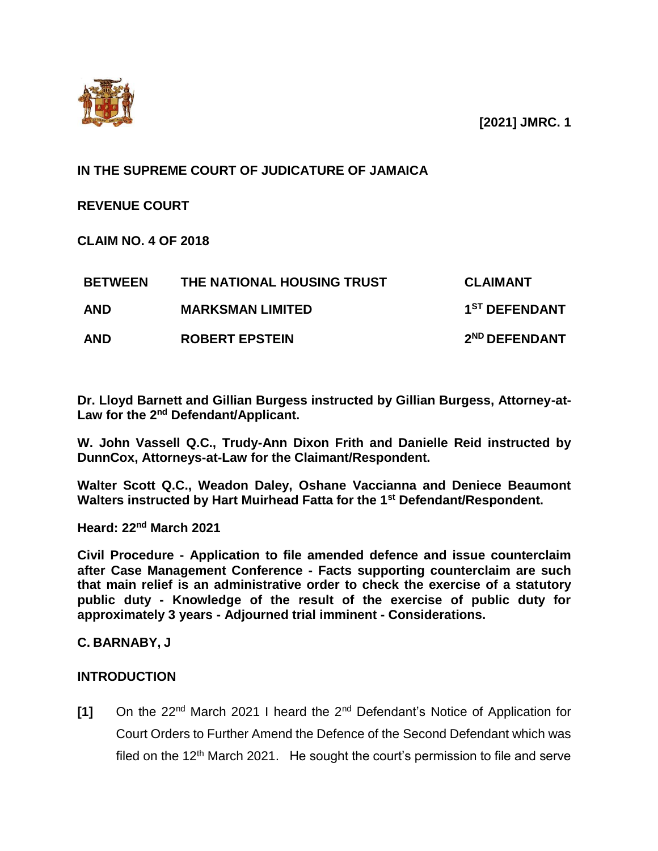**[2021] JMRC. 1**



## **IN THE SUPREME COURT OF JUDICATURE OF JAMAICA**

**REVENUE COURT** 

**CLAIM NO. 4 OF 2018**

| <b>BETWEEN</b> | THE NATIONAL HOUSING TRUST | <b>CLAIMANT</b>           |
|----------------|----------------------------|---------------------------|
| <b>AND</b>     | <b>MARKSMAN LIMITED</b>    | 1 <sup>ST</sup> DEFENDANT |
| <b>AND</b>     | <b>ROBERT EPSTEIN</b>      | 2 <sup>ND</sup> DEFENDANT |

**Dr. Lloyd Barnett and Gillian Burgess instructed by Gillian Burgess, Attorney-at-Law for the 2nd Defendant/Applicant.**

**W. John Vassell Q.C., Trudy-Ann Dixon Frith and Danielle Reid instructed by DunnCox, Attorneys-at-Law for the Claimant/Respondent.**

**Walter Scott Q.C., Weadon Daley, Oshane Vaccianna and Deniece Beaumont Walters instructed by Hart Muirhead Fatta for the 1st Defendant/Respondent.** 

**Heard: 22nd March 2021**

**Civil Procedure - Application to file amended defence and issue counterclaim after Case Management Conference - Facts supporting counterclaim are such that main relief is an administrative order to check the exercise of a statutory public duty - Knowledge of the result of the exercise of public duty for approximately 3 years - Adjourned trial imminent - Considerations.** 

### **C. BARNABY, J**

### **INTRODUCTION**

**[1]** On the 22nd March 2021 I heard the 2nd Defendant's Notice of Application for Court Orders to Further Amend the Defence of the Second Defendant which was filed on the  $12<sup>th</sup>$  March 2021. He sought the court's permission to file and serve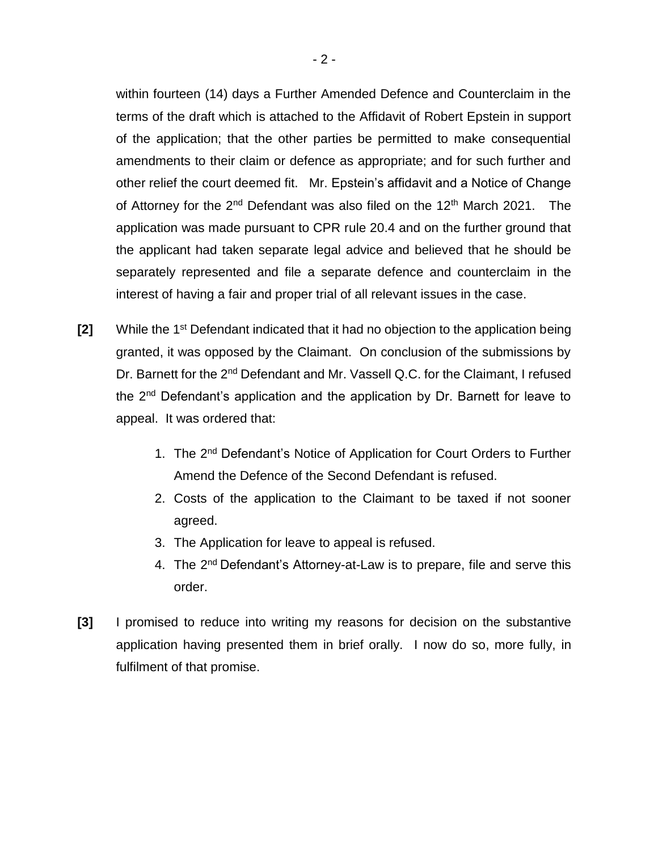within fourteen (14) days a Further Amended Defence and Counterclaim in the terms of the draft which is attached to the Affidavit of Robert Epstein in support of the application; that the other parties be permitted to make consequential amendments to their claim or defence as appropriate; and for such further and other relief the court deemed fit. Mr. Epstein's affidavit and a Notice of Change of Attorney for the  $2^{nd}$  Defendant was also filed on the  $12^{th}$  March 2021. The application was made pursuant to CPR rule 20.4 and on the further ground that the applicant had taken separate legal advice and believed that he should be separately represented and file a separate defence and counterclaim in the interest of having a fair and proper trial of all relevant issues in the case.

- **[2]** While the 1<sup>st</sup> Defendant indicated that it had no objection to the application being granted, it was opposed by the Claimant. On conclusion of the submissions by Dr. Barnett for the 2<sup>nd</sup> Defendant and Mr. Vassell Q.C. for the Claimant, I refused the 2<sup>nd</sup> Defendant's application and the application by Dr. Barnett for leave to appeal. It was ordered that:
	- 1. The 2<sup>nd</sup> Defendant's Notice of Application for Court Orders to Further Amend the Defence of the Second Defendant is refused.
	- 2. Costs of the application to the Claimant to be taxed if not sooner agreed.
	- 3. The Application for leave to appeal is refused.
	- 4. The 2<sup>nd</sup> Defendant's Attorney-at-Law is to prepare, file and serve this order.
- **[3]** I promised to reduce into writing my reasons for decision on the substantive application having presented them in brief orally. I now do so, more fully, in fulfilment of that promise.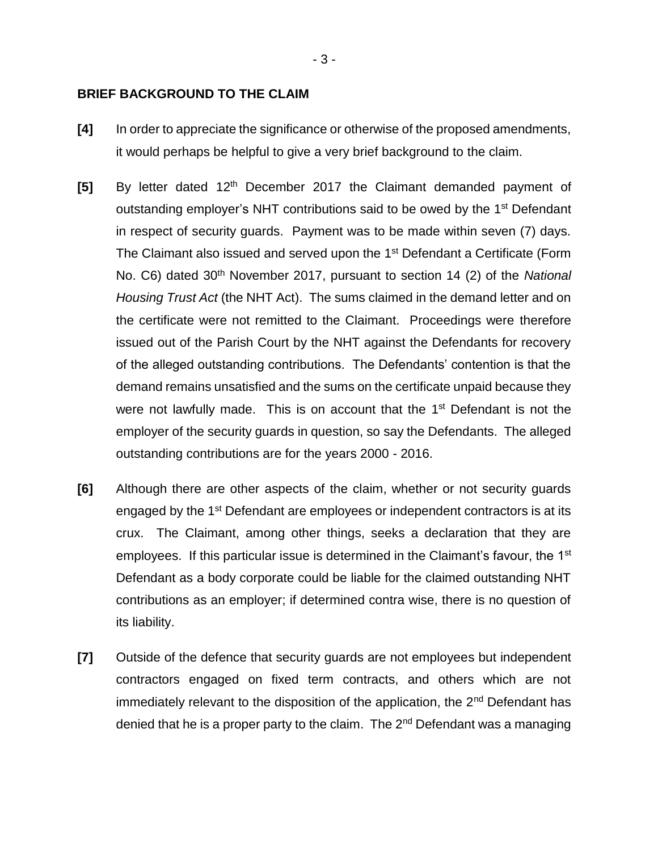### **BRIEF BACKGROUND TO THE CLAIM**

- **[4]** In order to appreciate the significance or otherwise of the proposed amendments, it would perhaps be helpful to give a very brief background to the claim.
- **[5]** By letter dated 12<sup>th</sup> December 2017 the Claimant demanded payment of outstanding employer's NHT contributions said to be owed by the 1<sup>st</sup> Defendant in respect of security guards. Payment was to be made within seven (7) days. The Claimant also issued and served upon the 1<sup>st</sup> Defendant a Certificate (Form No. C6) dated 30th November 2017, pursuant to section 14 (2) of the *National Housing Trust Act* (the NHT Act). The sums claimed in the demand letter and on the certificate were not remitted to the Claimant. Proceedings were therefore issued out of the Parish Court by the NHT against the Defendants for recovery of the alleged outstanding contributions. The Defendants' contention is that the demand remains unsatisfied and the sums on the certificate unpaid because they were not lawfully made. This is on account that the 1<sup>st</sup> Defendant is not the employer of the security guards in question, so say the Defendants. The alleged outstanding contributions are for the years 2000 - 2016.
- **[6]** Although there are other aspects of the claim, whether or not security guards engaged by the 1<sup>st</sup> Defendant are employees or independent contractors is at its crux. The Claimant, among other things, seeks a declaration that they are employees. If this particular issue is determined in the Claimant's favour, the 1<sup>st</sup> Defendant as a body corporate could be liable for the claimed outstanding NHT contributions as an employer; if determined contra wise, there is no question of its liability.
- **[7]** Outside of the defence that security guards are not employees but independent contractors engaged on fixed term contracts, and others which are not immediately relevant to the disposition of the application, the 2<sup>nd</sup> Defendant has denied that he is a proper party to the claim. The 2<sup>nd</sup> Defendant was a managing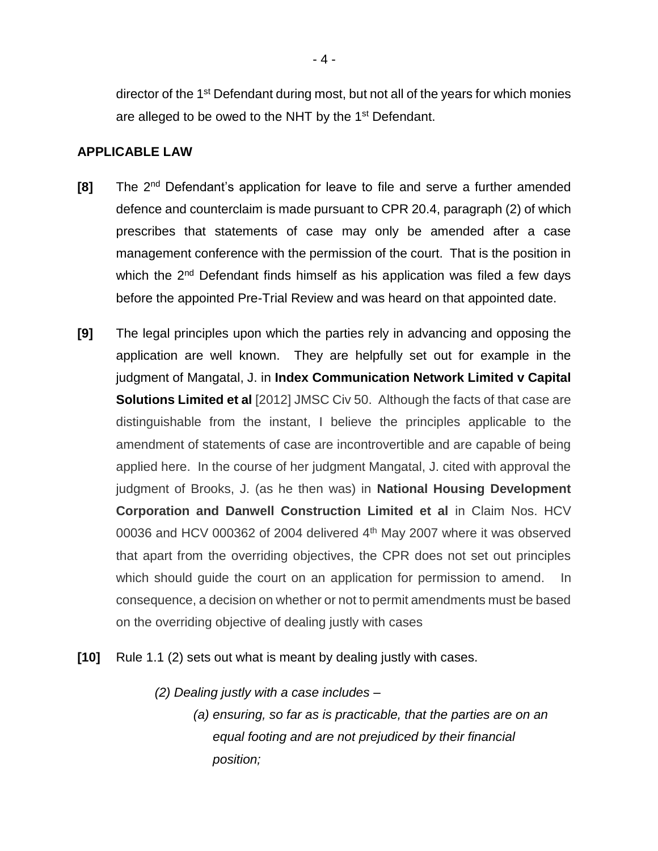director of the 1<sup>st</sup> Defendant during most, but not all of the years for which monies are alleged to be owed to the NHT by the 1<sup>st</sup> Defendant.

### **APPLICABLE LAW**

- **[8]** The 2<sup>nd</sup> Defendant's application for leave to file and serve a further amended defence and counterclaim is made pursuant to CPR 20.4, paragraph (2) of which prescribes that statements of case may only be amended after a case management conference with the permission of the court. That is the position in which the 2<sup>nd</sup> Defendant finds himself as his application was filed a few days before the appointed Pre-Trial Review and was heard on that appointed date.
- **[9]** The legal principles upon which the parties rely in advancing and opposing the application are well known. They are helpfully set out for example in the judgment of Mangatal, J. in **Index Communication Network Limited v Capital Solutions Limited et al** [2012] JMSC Civ 50. Although the facts of that case are distinguishable from the instant, I believe the principles applicable to the amendment of statements of case are incontrovertible and are capable of being applied here. In the course of her judgment Mangatal, J. cited with approval the judgment of Brooks, J. (as he then was) in **National Housing Development Corporation and Danwell Construction Limited et al** in Claim Nos. HCV 00036 and HCV 000362 of 2004 delivered 4<sup>th</sup> May 2007 where it was observed that apart from the overriding objectives, the CPR does not set out principles which should guide the court on an application for permission to amend. In consequence, a decision on whether or not to permit amendments must be based on the overriding objective of dealing justly with cases
- **[10]** Rule 1.1 (2) sets out what is meant by dealing justly with cases.
	- *(2) Dealing justly with a case includes –*
		- *(a) ensuring, so far as is practicable, that the parties are on an equal footing and are not prejudiced by their financial position;*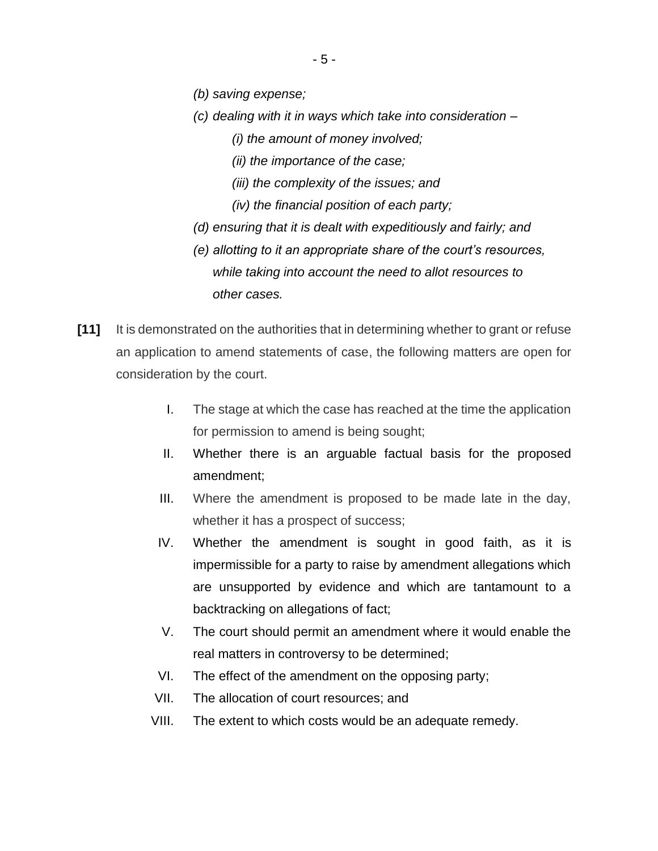- *(b) saving expense;*
- *(c) dealing with it in ways which take into consideration –*
	- *(i) the amount of money involved;*
	- *(ii) the importance of the case;*
	- *(iii) the complexity of the issues; and*
	- *(iv) the financial position of each party;*
- *(d) ensuring that it is dealt with expeditiously and fairly; and*
- *(e) allotting to it an appropriate share of the court's resources, while taking into account the need to allot resources to other cases.*
- **[11]** It is demonstrated on the authorities that in determining whether to grant or refuse an application to amend statements of case, the following matters are open for consideration by the court.
	- I. The stage at which the case has reached at the time the application for permission to amend is being sought;
	- II. Whether there is an arguable factual basis for the proposed amendment;
	- III. Where the amendment is proposed to be made late in the day, whether it has a prospect of success;
	- IV. Whether the amendment is sought in good faith, as it is impermissible for a party to raise by amendment allegations which are unsupported by evidence and which are tantamount to a backtracking on allegations of fact;
	- V. The court should permit an amendment where it would enable the real matters in controversy to be determined;
	- VI. The effect of the amendment on the opposing party;
	- VII. The allocation of court resources; and
	- VIII. The extent to which costs would be an adequate remedy.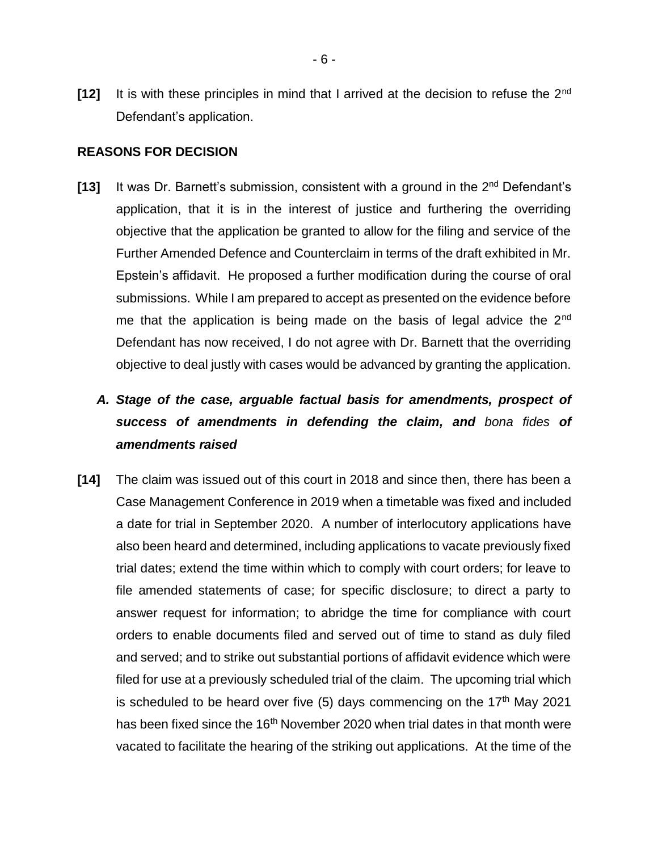**[12]** It is with these principles in mind that I arrived at the decision to refuse the 2nd Defendant's application.

#### **REASONS FOR DECISION**

**[13]** It was Dr. Barnett's submission, consistent with a ground in the 2nd Defendant's application, that it is in the interest of justice and furthering the overriding objective that the application be granted to allow for the filing and service of the Further Amended Defence and Counterclaim in terms of the draft exhibited in Mr. Epstein's affidavit. He proposed a further modification during the course of oral submissions. While I am prepared to accept as presented on the evidence before me that the application is being made on the basis of legal advice the  $2<sup>nd</sup>$ Defendant has now received, I do not agree with Dr. Barnett that the overriding objective to deal justly with cases would be advanced by granting the application.

# *A. Stage of the case, arguable factual basis for amendments, prospect of success of amendments in defending the claim, and bona fides of amendments raised*

**[14]** The claim was issued out of this court in 2018 and since then, there has been a Case Management Conference in 2019 when a timetable was fixed and included a date for trial in September 2020. A number of interlocutory applications have also been heard and determined, including applications to vacate previously fixed trial dates; extend the time within which to comply with court orders; for leave to file amended statements of case; for specific disclosure; to direct a party to answer request for information; to abridge the time for compliance with court orders to enable documents filed and served out of time to stand as duly filed and served; and to strike out substantial portions of affidavit evidence which were filed for use at a previously scheduled trial of the claim. The upcoming trial which is scheduled to be heard over five  $(5)$  days commencing on the 17<sup>th</sup> May 2021 has been fixed since the 16<sup>th</sup> November 2020 when trial dates in that month were vacated to facilitate the hearing of the striking out applications. At the time of the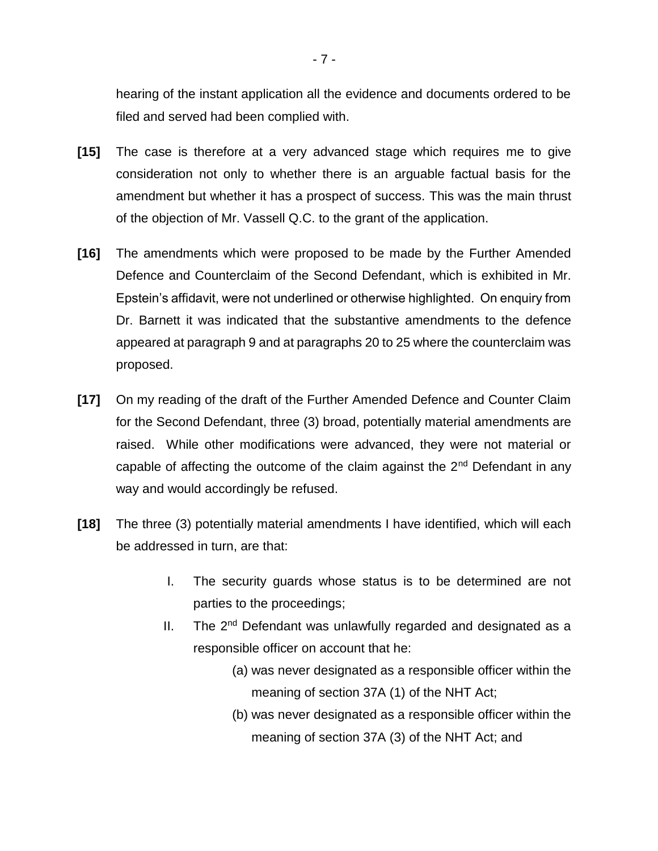hearing of the instant application all the evidence and documents ordered to be filed and served had been complied with.

- **[15]** The case is therefore at a very advanced stage which requires me to give consideration not only to whether there is an arguable factual basis for the amendment but whether it has a prospect of success. This was the main thrust of the objection of Mr. Vassell Q.C. to the grant of the application.
- **[16]** The amendments which were proposed to be made by the Further Amended Defence and Counterclaim of the Second Defendant, which is exhibited in Mr. Epstein's affidavit, were not underlined or otherwise highlighted. On enquiry from Dr. Barnett it was indicated that the substantive amendments to the defence appeared at paragraph 9 and at paragraphs 20 to 25 where the counterclaim was proposed.
- **[17]** On my reading of the draft of the Further Amended Defence and Counter Claim for the Second Defendant, three (3) broad, potentially material amendments are raised. While other modifications were advanced, they were not material or capable of affecting the outcome of the claim against the  $2<sup>nd</sup>$  Defendant in any way and would accordingly be refused.
- **[18]** The three (3) potentially material amendments I have identified, which will each be addressed in turn, are that:
	- I. The security guards whose status is to be determined are not parties to the proceedings;
	- II. The 2<sup>nd</sup> Defendant was unlawfully regarded and designated as a responsible officer on account that he:
		- (a) was never designated as a responsible officer within the meaning of section 37A (1) of the NHT Act;
		- (b) was never designated as a responsible officer within the meaning of section 37A (3) of the NHT Act; and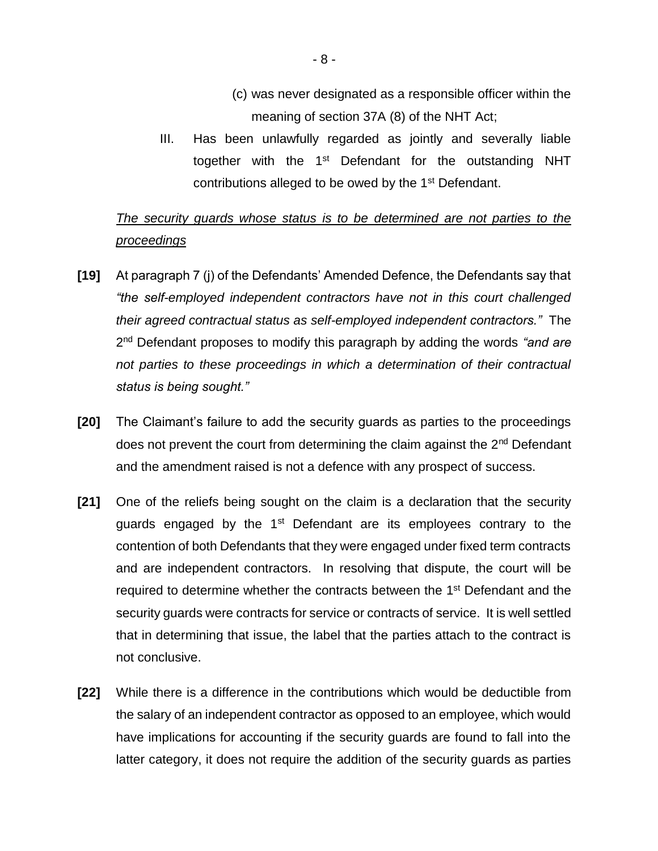- (c) was never designated as a responsible officer within the meaning of section 37A (8) of the NHT Act;
- III. Has been unlawfully regarded as jointly and severally liable together with the 1<sup>st</sup> Defendant for the outstanding NHT contributions alleged to be owed by the 1<sup>st</sup> Defendant.

## *The security guards whose status is to be determined are not parties to the proceedings*

- **[19]** At paragraph 7 (j) of the Defendants' Amended Defence, the Defendants say that *"the self-employed independent contractors have not in this court challenged their agreed contractual status as self-employed independent contractors."* The 2 nd Defendant proposes to modify this paragraph by adding the words *"and are not parties to these proceedings in which a determination of their contractual status is being sought."*
- **[20]** The Claimant's failure to add the security guards as parties to the proceedings does not prevent the court from determining the claim against the 2<sup>nd</sup> Defendant and the amendment raised is not a defence with any prospect of success.
- **[21]** One of the reliefs being sought on the claim is a declaration that the security guards engaged by the  $1<sup>st</sup>$  Defendant are its employees contrary to the contention of both Defendants that they were engaged under fixed term contracts and are independent contractors. In resolving that dispute, the court will be required to determine whether the contracts between the 1<sup>st</sup> Defendant and the security guards were contracts for service or contracts of service. It is well settled that in determining that issue, the label that the parties attach to the contract is not conclusive.
- **[22]** While there is a difference in the contributions which would be deductible from the salary of an independent contractor as opposed to an employee, which would have implications for accounting if the security guards are found to fall into the latter category, it does not require the addition of the security guards as parties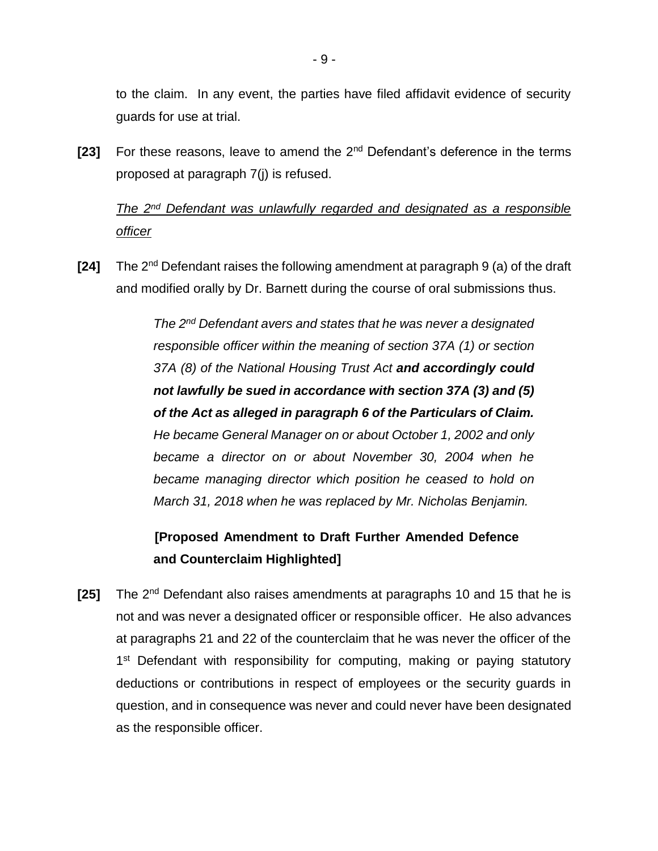to the claim. In any event, the parties have filed affidavit evidence of security guards for use at trial.

**[23]** For these reasons, leave to amend the 2nd Defendant's deference in the terms proposed at paragraph 7(j) is refused.

# *The 2nd Defendant was unlawfully regarded and designated as a responsible officer*

**[24]** The 2nd Defendant raises the following amendment at paragraph 9 (a) of the draft and modified orally by Dr. Barnett during the course of oral submissions thus.

> *The 2nd Defendant avers and states that he was never a designated responsible officer within the meaning of section 37A (1) or section 37A (8) of the National Housing Trust Act and accordingly could not lawfully be sued in accordance with section 37A (3) and (5) of the Act as alleged in paragraph 6 of the Particulars of Claim. He became General Manager on or about October 1, 2002 and only became a director on or about November 30, 2004 when he became managing director which position he ceased to hold on March 31, 2018 when he was replaced by Mr. Nicholas Benjamin.*

# **[Proposed Amendment to Draft Further Amended Defence and Counterclaim Highlighted]**

**[25]** The 2<sup>nd</sup> Defendant also raises amendments at paragraphs 10 and 15 that he is not and was never a designated officer or responsible officer. He also advances at paragraphs 21 and 22 of the counterclaim that he was never the officer of the 1<sup>st</sup> Defendant with responsibility for computing, making or paying statutory deductions or contributions in respect of employees or the security guards in question, and in consequence was never and could never have been designated as the responsible officer.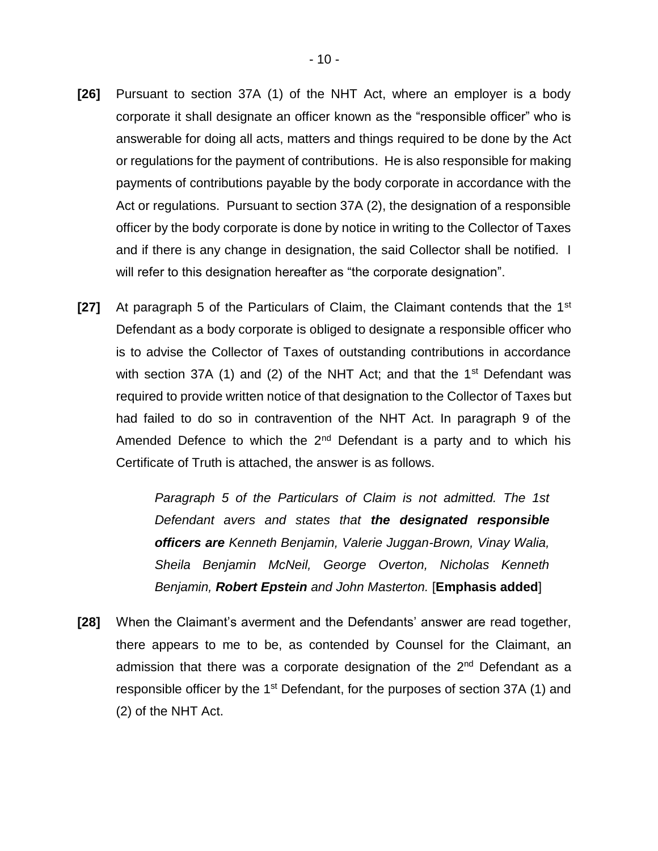- **[26]** Pursuant to section 37A (1) of the NHT Act, where an employer is a body corporate it shall designate an officer known as the "responsible officer" who is answerable for doing all acts, matters and things required to be done by the Act or regulations for the payment of contributions. He is also responsible for making payments of contributions payable by the body corporate in accordance with the Act or regulations. Pursuant to section 37A (2), the designation of a responsible officer by the body corporate is done by notice in writing to the Collector of Taxes and if there is any change in designation, the said Collector shall be notified. I will refer to this designation hereafter as "the corporate designation".
- **[27]** At paragraph 5 of the Particulars of Claim, the Claimant contends that the 1<sup>st</sup> Defendant as a body corporate is obliged to designate a responsible officer who is to advise the Collector of Taxes of outstanding contributions in accordance with section 37A (1) and (2) of the NHT Act; and that the  $1<sup>st</sup>$  Defendant was required to provide written notice of that designation to the Collector of Taxes but had failed to do so in contravention of the NHT Act. In paragraph 9 of the Amended Defence to which the  $2<sup>nd</sup>$  Defendant is a party and to which his Certificate of Truth is attached, the answer is as follows.

*Paragraph 5 of the Particulars of Claim is not admitted. The 1st Defendant avers and states that the designated responsible officers are Kenneth Benjamin, Valerie Juggan-Brown, Vinay Walia, Sheila Benjamin McNeil, George Overton, Nicholas Kenneth Benjamin, Robert Epstein and John Masterton.* [**Emphasis added**]

**[28]** When the Claimant's averment and the Defendants' answer are read together, there appears to me to be, as contended by Counsel for the Claimant, an admission that there was a corporate designation of the 2<sup>nd</sup> Defendant as a responsible officer by the 1<sup>st</sup> Defendant, for the purposes of section 37A (1) and (2) of the NHT Act.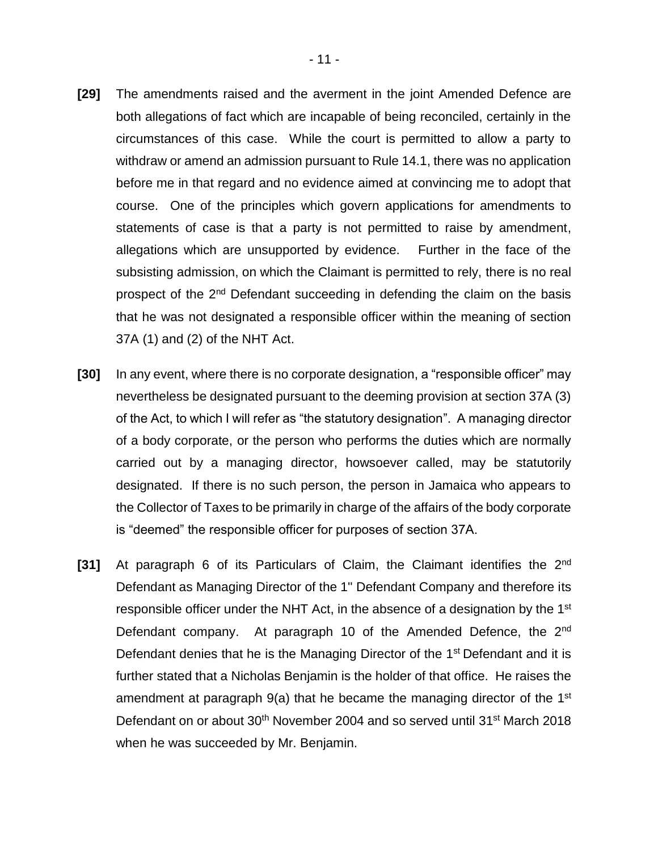- **[29]** The amendments raised and the averment in the joint Amended Defence are both allegations of fact which are incapable of being reconciled, certainly in the circumstances of this case. While the court is permitted to allow a party to withdraw or amend an admission pursuant to Rule 14.1, there was no application before me in that regard and no evidence aimed at convincing me to adopt that course. One of the principles which govern applications for amendments to statements of case is that a party is not permitted to raise by amendment, allegations which are unsupported by evidence. Further in the face of the subsisting admission, on which the Claimant is permitted to rely, there is no real prospect of the 2<sup>nd</sup> Defendant succeeding in defending the claim on the basis that he was not designated a responsible officer within the meaning of section 37A (1) and (2) of the NHT Act.
- **[30]** In any event, where there is no corporate designation, a "responsible officer" may nevertheless be designated pursuant to the deeming provision at section 37A (3) of the Act, to which I will refer as "the statutory designation". A managing director of a body corporate, or the person who performs the duties which are normally carried out by a managing director, howsoever called, may be statutorily designated. If there is no such person, the person in Jamaica who appears to the Collector of Taxes to be primarily in charge of the affairs of the body corporate is "deemed" the responsible officer for purposes of section 37A.
- [31] At paragraph 6 of its Particulars of Claim, the Claimant identifies the 2<sup>nd</sup> Defendant as Managing Director of the 1'' Defendant Company and therefore its responsible officer under the NHT Act, in the absence of a designation by the 1<sup>st</sup> Defendant company. At paragraph 10 of the Amended Defence, the 2<sup>nd</sup> Defendant denies that he is the Managing Director of the 1<sup>st</sup> Defendant and it is further stated that a Nicholas Benjamin is the holder of that office. He raises the amendment at paragraph 9(a) that he became the managing director of the 1<sup>st</sup> Defendant on or about 30<sup>th</sup> November 2004 and so served until 31<sup>st</sup> March 2018 when he was succeeded by Mr. Benjamin.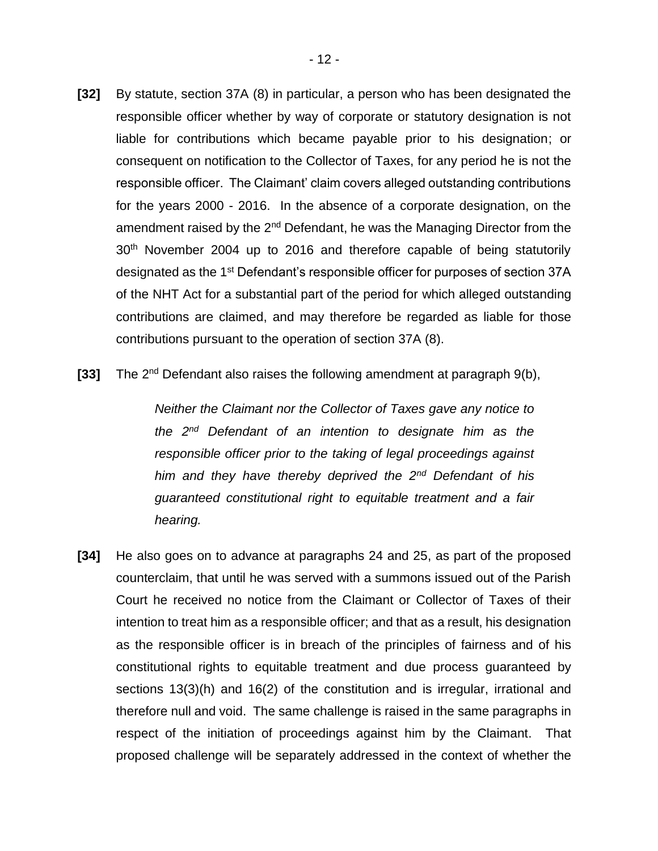- **[32]** By statute, section 37A (8) in particular, a person who has been designated the responsible officer whether by way of corporate or statutory designation is not liable for contributions which became payable prior to his designation; or consequent on notification to the Collector of Taxes, for any period he is not the responsible officer. The Claimant' claim covers alleged outstanding contributions for the years 2000 - 2016. In the absence of a corporate designation, on the amendment raised by the 2<sup>nd</sup> Defendant, he was the Managing Director from the 30<sup>th</sup> November 2004 up to 2016 and therefore capable of being statutorily designated as the 1<sup>st</sup> Defendant's responsible officer for purposes of section 37A of the NHT Act for a substantial part of the period for which alleged outstanding contributions are claimed, and may therefore be regarded as liable for those contributions pursuant to the operation of section 37A (8).
- [33] The 2<sup>nd</sup> Defendant also raises the following amendment at paragraph 9(b),

*Neither the Claimant nor the Collector of Taxes gave any notice to the 2nd Defendant of an intention to designate him as the responsible officer prior to the taking of legal proceedings against him and they have thereby deprived the 2nd Defendant of his guaranteed constitutional right to equitable treatment and a fair hearing.* 

**[34]** He also goes on to advance at paragraphs 24 and 25, as part of the proposed counterclaim, that until he was served with a summons issued out of the Parish Court he received no notice from the Claimant or Collector of Taxes of their intention to treat him as a responsible officer; and that as a result, his designation as the responsible officer is in breach of the principles of fairness and of his constitutional rights to equitable treatment and due process guaranteed by sections 13(3)(h) and 16(2) of the constitution and is irregular, irrational and therefore null and void. The same challenge is raised in the same paragraphs in respect of the initiation of proceedings against him by the Claimant. That proposed challenge will be separately addressed in the context of whether the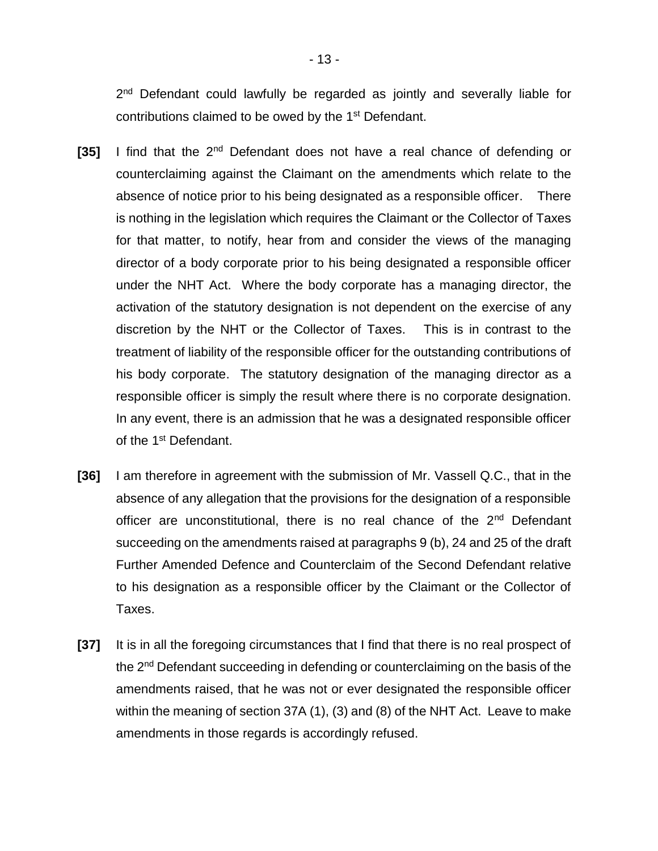2<sup>nd</sup> Defendant could lawfully be regarded as jointly and severally liable for contributions claimed to be owed by the 1st Defendant.

- **[35]** I find that the 2nd Defendant does not have a real chance of defending or counterclaiming against the Claimant on the amendments which relate to the absence of notice prior to his being designated as a responsible officer. There is nothing in the legislation which requires the Claimant or the Collector of Taxes for that matter, to notify, hear from and consider the views of the managing director of a body corporate prior to his being designated a responsible officer under the NHT Act. Where the body corporate has a managing director, the activation of the statutory designation is not dependent on the exercise of any discretion by the NHT or the Collector of Taxes. This is in contrast to the treatment of liability of the responsible officer for the outstanding contributions of his body corporate. The statutory designation of the managing director as a responsible officer is simply the result where there is no corporate designation. In any event, there is an admission that he was a designated responsible officer of the 1<sup>st</sup> Defendant.
- **[36]** I am therefore in agreement with the submission of Mr. Vassell Q.C., that in the absence of any allegation that the provisions for the designation of a responsible officer are unconstitutional, there is no real chance of the 2<sup>nd</sup> Defendant succeeding on the amendments raised at paragraphs 9 (b), 24 and 25 of the draft Further Amended Defence and Counterclaim of the Second Defendant relative to his designation as a responsible officer by the Claimant or the Collector of Taxes.
- **[37]** It is in all the foregoing circumstances that I find that there is no real prospect of the 2nd Defendant succeeding in defending or counterclaiming on the basis of the amendments raised, that he was not or ever designated the responsible officer within the meaning of section 37A (1), (3) and (8) of the NHT Act. Leave to make amendments in those regards is accordingly refused.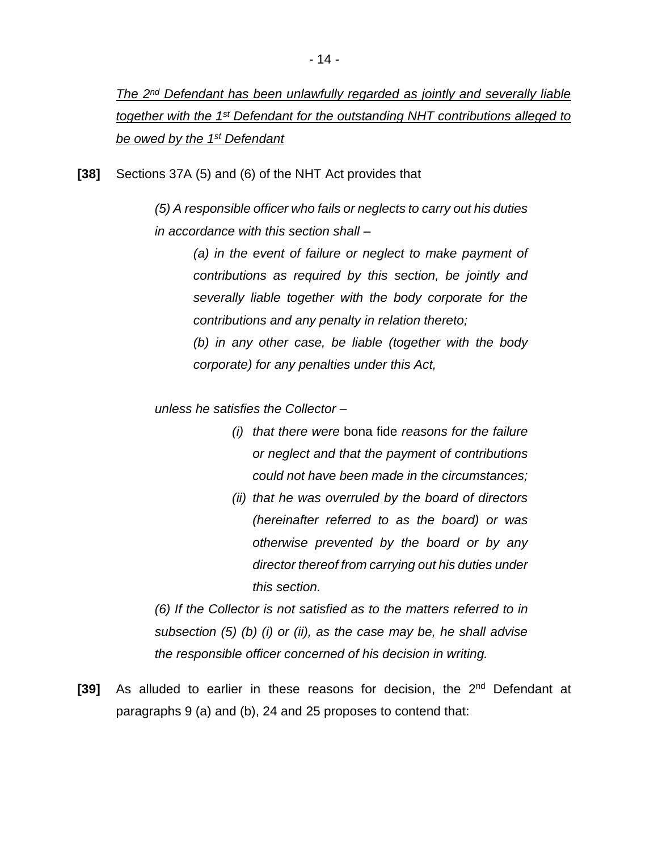*The 2nd Defendant has been unlawfully regarded as jointly and severally liable together with the 1st Defendant for the outstanding NHT contributions alleged to be owed by the 1st Defendant*

**[38]** Sections 37A (5) and (6) of the NHT Act provides that

*(5) A responsible officer who fails or neglects to carry out his duties in accordance with this section shall –*

> *(a) in the event of failure or neglect to make payment of contributions as required by this section, be jointly and severally liable together with the body corporate for the contributions and any penalty in relation thereto; (b) in any other case, be liable (together with the body corporate) for any penalties under this Act,*

*unless he satisfies the Collector –*

- *(i) that there were* bona fide *reasons for the failure or neglect and that the payment of contributions could not have been made in the circumstances;*
- *(ii) that he was overruled by the board of directors (hereinafter referred to as the board) or was otherwise prevented by the board or by any director thereof from carrying out his duties under this section.*

*(6) If the Collector is not satisfied as to the matters referred to in subsection (5) (b) (i) or (ii), as the case may be, he shall advise the responsible officer concerned of his decision in writing.* 

**[39]** As alluded to earlier in these reasons for decision, the 2nd Defendant at paragraphs 9 (a) and (b), 24 and 25 proposes to contend that: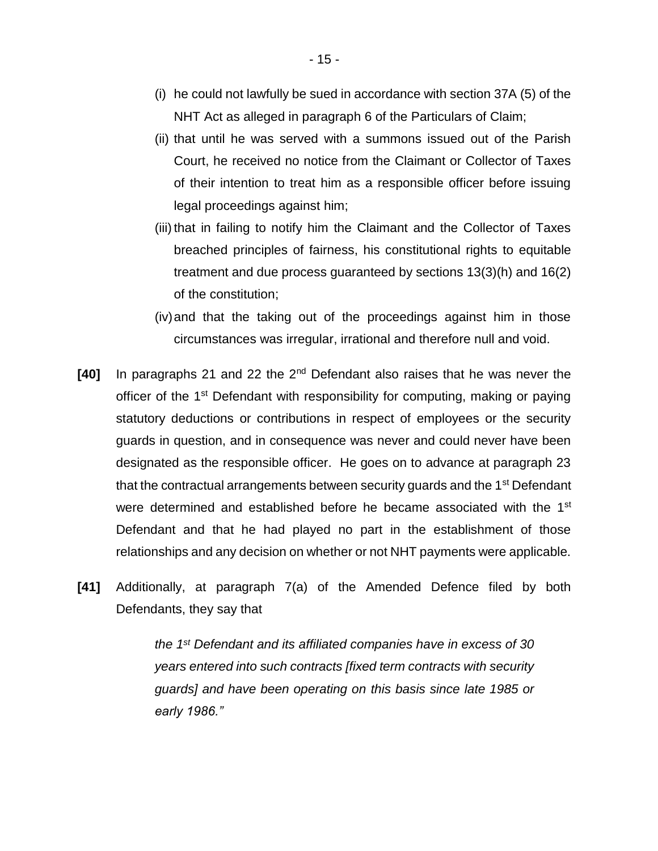- (i) he could not lawfully be sued in accordance with section 37A (5) of the NHT Act as alleged in paragraph 6 of the Particulars of Claim;
- (ii) that until he was served with a summons issued out of the Parish Court, he received no notice from the Claimant or Collector of Taxes of their intention to treat him as a responsible officer before issuing legal proceedings against him;
- (iii) that in failing to notify him the Claimant and the Collector of Taxes breached principles of fairness, his constitutional rights to equitable treatment and due process guaranteed by sections 13(3)(h) and 16(2) of the constitution;
- (iv)and that the taking out of the proceedings against him in those circumstances was irregular, irrational and therefore null and void.
- **[40]** In paragraphs 21 and 22 the 2nd Defendant also raises that he was never the officer of the 1<sup>st</sup> Defendant with responsibility for computing, making or paying statutory deductions or contributions in respect of employees or the security guards in question, and in consequence was never and could never have been designated as the responsible officer. He goes on to advance at paragraph 23 that the contractual arrangements between security guards and the 1<sup>st</sup> Defendant were determined and established before he became associated with the 1<sup>st</sup> Defendant and that he had played no part in the establishment of those relationships and any decision on whether or not NHT payments were applicable.
- **[41]** Additionally, at paragraph 7(a) of the Amended Defence filed by both Defendants, they say that

*the 1st Defendant and its affiliated companies have in excess of 30 years entered into such contracts [fixed term contracts with security guards] and have been operating on this basis since late 1985 or early 1986."*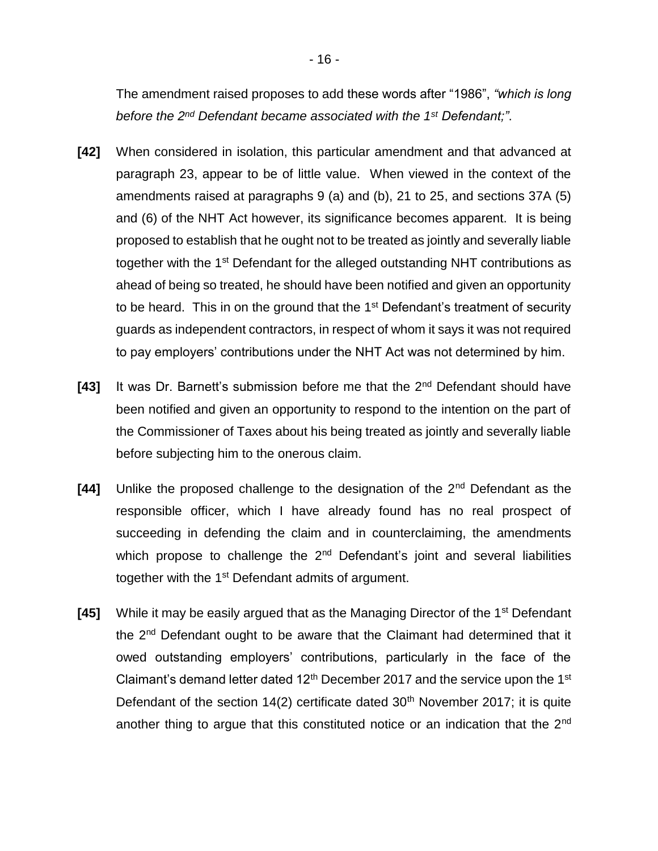The amendment raised proposes to add these words after "1986", *"which is long before the 2nd Defendant became associated with the 1st Defendant;"*.

- **[42]** When considered in isolation, this particular amendment and that advanced at paragraph 23, appear to be of little value. When viewed in the context of the amendments raised at paragraphs 9 (a) and (b), 21 to 25, and sections 37A (5) and (6) of the NHT Act however, its significance becomes apparent. It is being proposed to establish that he ought not to be treated as jointly and severally liable together with the 1<sup>st</sup> Defendant for the alleged outstanding NHT contributions as ahead of being so treated, he should have been notified and given an opportunity to be heard. This in on the ground that the  $1<sup>st</sup>$  Defendant's treatment of security guards as independent contractors, in respect of whom it says it was not required to pay employers' contributions under the NHT Act was not determined by him.
- **[43]** It was Dr. Barnett's submission before me that the 2nd Defendant should have been notified and given an opportunity to respond to the intention on the part of the Commissioner of Taxes about his being treated as jointly and severally liable before subjecting him to the onerous claim.
- **[44]** Unlike the proposed challenge to the designation of the 2nd Defendant as the responsible officer, which I have already found has no real prospect of succeeding in defending the claim and in counterclaiming, the amendments which propose to challenge the  $2<sup>nd</sup>$  Defendant's joint and several liabilities together with the 1<sup>st</sup> Defendant admits of argument.
- **[45]** While it may be easily argued that as the Managing Director of the 1<sup>st</sup> Defendant the 2nd Defendant ought to be aware that the Claimant had determined that it owed outstanding employers' contributions, particularly in the face of the Claimant's demand letter dated  $12<sup>th</sup>$  December 2017 and the service upon the 1<sup>st</sup> Defendant of the section  $14(2)$  certificate dated  $30<sup>th</sup>$  November 2017; it is quite another thing to argue that this constituted notice or an indication that the 2<sup>nd</sup>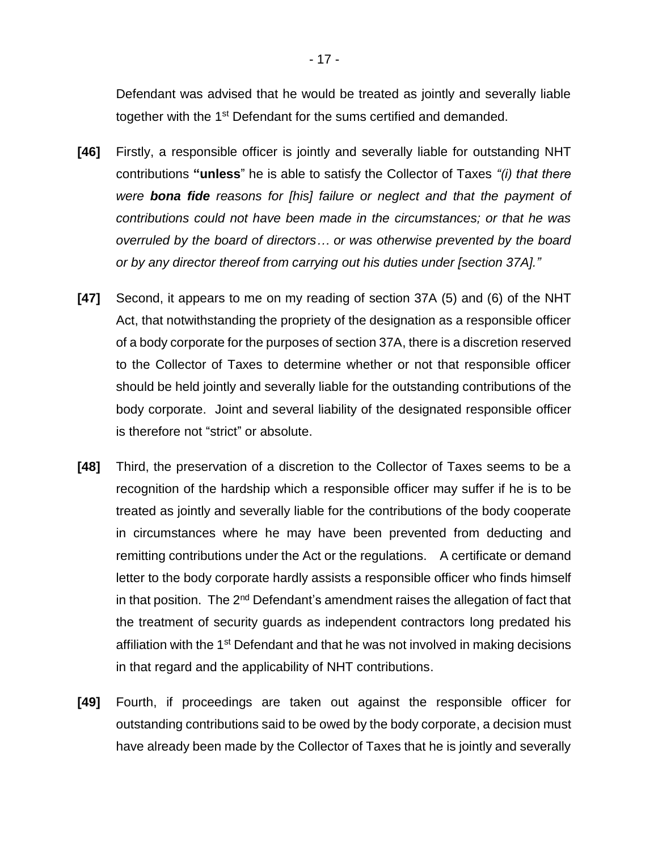Defendant was advised that he would be treated as jointly and severally liable together with the 1<sup>st</sup> Defendant for the sums certified and demanded.

- **[46]** Firstly, a responsible officer is jointly and severally liable for outstanding NHT contributions **"unless**" he is able to satisfy the Collector of Taxes *"(i) that there were bona fide reasons for [his] failure or neglect and that the payment of contributions could not have been made in the circumstances; or that he was overruled by the board of directors… or was otherwise prevented by the board or by any director thereof from carrying out his duties under [section 37A]."*
- **[47]** Second, it appears to me on my reading of section 37A (5) and (6) of the NHT Act, that notwithstanding the propriety of the designation as a responsible officer of a body corporate for the purposes of section 37A, there is a discretion reserved to the Collector of Taxes to determine whether or not that responsible officer should be held jointly and severally liable for the outstanding contributions of the body corporate. Joint and several liability of the designated responsible officer is therefore not "strict" or absolute.
- **[48]** Third, the preservation of a discretion to the Collector of Taxes seems to be a recognition of the hardship which a responsible officer may suffer if he is to be treated as jointly and severally liable for the contributions of the body cooperate in circumstances where he may have been prevented from deducting and remitting contributions under the Act or the regulations. A certificate or demand letter to the body corporate hardly assists a responsible officer who finds himself in that position. The 2<sup>nd</sup> Defendant's amendment raises the allegation of fact that the treatment of security guards as independent contractors long predated his affiliation with the 1<sup>st</sup> Defendant and that he was not involved in making decisions in that regard and the applicability of NHT contributions.
- **[49]** Fourth, if proceedings are taken out against the responsible officer for outstanding contributions said to be owed by the body corporate, a decision must have already been made by the Collector of Taxes that he is jointly and severally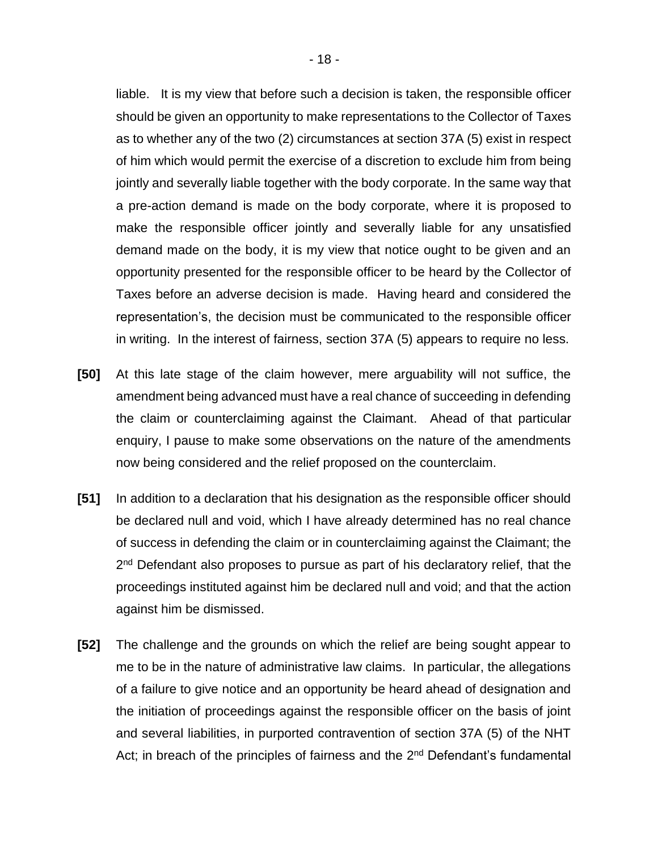liable. It is my view that before such a decision is taken, the responsible officer should be given an opportunity to make representations to the Collector of Taxes as to whether any of the two (2) circumstances at section 37A (5) exist in respect of him which would permit the exercise of a discretion to exclude him from being jointly and severally liable together with the body corporate. In the same way that a pre-action demand is made on the body corporate, where it is proposed to make the responsible officer jointly and severally liable for any unsatisfied demand made on the body, it is my view that notice ought to be given and an opportunity presented for the responsible officer to be heard by the Collector of Taxes before an adverse decision is made. Having heard and considered the representation's, the decision must be communicated to the responsible officer in writing. In the interest of fairness, section 37A (5) appears to require no less.

- **[50]** At this late stage of the claim however, mere arguability will not suffice, the amendment being advanced must have a real chance of succeeding in defending the claim or counterclaiming against the Claimant. Ahead of that particular enquiry, I pause to make some observations on the nature of the amendments now being considered and the relief proposed on the counterclaim.
- **[51]** In addition to a declaration that his designation as the responsible officer should be declared null and void, which I have already determined has no real chance of success in defending the claim or in counterclaiming against the Claimant; the 2<sup>nd</sup> Defendant also proposes to pursue as part of his declaratory relief, that the proceedings instituted against him be declared null and void; and that the action against him be dismissed.
- **[52]** The challenge and the grounds on which the relief are being sought appear to me to be in the nature of administrative law claims. In particular, the allegations of a failure to give notice and an opportunity be heard ahead of designation and the initiation of proceedings against the responsible officer on the basis of joint and several liabilities, in purported contravention of section 37A (5) of the NHT Act; in breach of the principles of fairness and the  $2<sup>nd</sup>$  Defendant's fundamental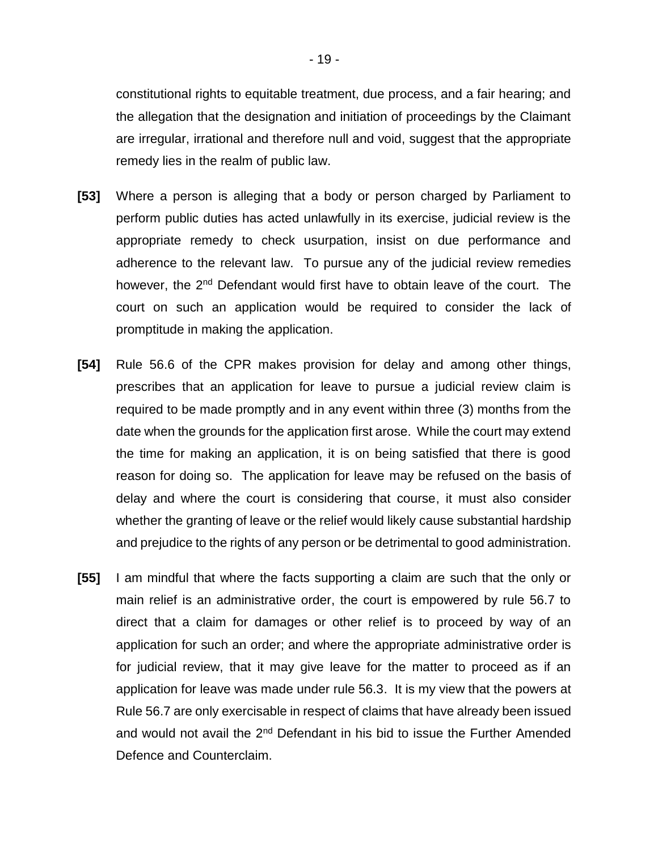constitutional rights to equitable treatment, due process, and a fair hearing; and the allegation that the designation and initiation of proceedings by the Claimant are irregular, irrational and therefore null and void, suggest that the appropriate remedy lies in the realm of public law.

- **[53]** Where a person is alleging that a body or person charged by Parliament to perform public duties has acted unlawfully in its exercise, judicial review is the appropriate remedy to check usurpation, insist on due performance and adherence to the relevant law. To pursue any of the judicial review remedies however, the 2<sup>nd</sup> Defendant would first have to obtain leave of the court. The court on such an application would be required to consider the lack of promptitude in making the application.
- **[54]** Rule 56.6 of the CPR makes provision for delay and among other things, prescribes that an application for leave to pursue a judicial review claim is required to be made promptly and in any event within three (3) months from the date when the grounds for the application first arose. While the court may extend the time for making an application, it is on being satisfied that there is good reason for doing so. The application for leave may be refused on the basis of delay and where the court is considering that course, it must also consider whether the granting of leave or the relief would likely cause substantial hardship and prejudice to the rights of any person or be detrimental to good administration.
- **[55]** I am mindful that where the facts supporting a claim are such that the only or main relief is an administrative order, the court is empowered by rule 56.7 to direct that a claim for damages or other relief is to proceed by way of an application for such an order; and where the appropriate administrative order is for judicial review, that it may give leave for the matter to proceed as if an application for leave was made under rule 56.3. It is my view that the powers at Rule 56.7 are only exercisable in respect of claims that have already been issued and would not avail the 2<sup>nd</sup> Defendant in his bid to issue the Further Amended Defence and Counterclaim.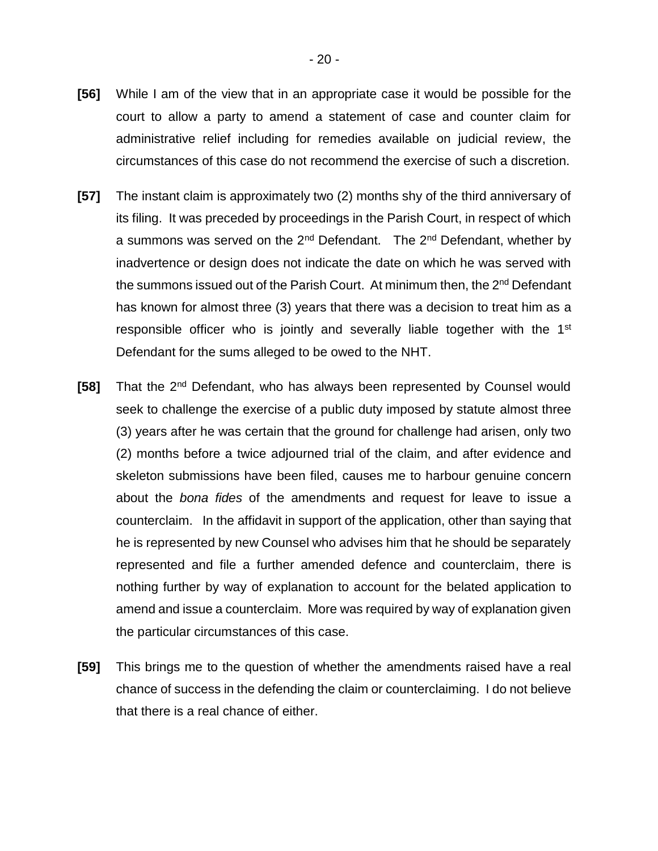- **[56]** While I am of the view that in an appropriate case it would be possible for the court to allow a party to amend a statement of case and counter claim for administrative relief including for remedies available on judicial review, the circumstances of this case do not recommend the exercise of such a discretion.
- **[57]** The instant claim is approximately two (2) months shy of the third anniversary of its filing. It was preceded by proceedings in the Parish Court, in respect of which a summons was served on the  $2^{nd}$  Defendant. The  $2^{nd}$  Defendant, whether by inadvertence or design does not indicate the date on which he was served with the summons issued out of the Parish Court. At minimum then, the 2<sup>nd</sup> Defendant has known for almost three (3) years that there was a decision to treat him as a responsible officer who is jointly and severally liable together with the 1<sup>st</sup> Defendant for the sums alleged to be owed to the NHT.
- **[58]** That the 2nd Defendant, who has always been represented by Counsel would seek to challenge the exercise of a public duty imposed by statute almost three (3) years after he was certain that the ground for challenge had arisen, only two (2) months before a twice adjourned trial of the claim, and after evidence and skeleton submissions have been filed, causes me to harbour genuine concern about the *bona fides* of the amendments and request for leave to issue a counterclaim. In the affidavit in support of the application, other than saying that he is represented by new Counsel who advises him that he should be separately represented and file a further amended defence and counterclaim, there is nothing further by way of explanation to account for the belated application to amend and issue a counterclaim. More was required by way of explanation given the particular circumstances of this case.
- **[59]** This brings me to the question of whether the amendments raised have a real chance of success in the defending the claim or counterclaiming.I do not believe that there is a real chance of either.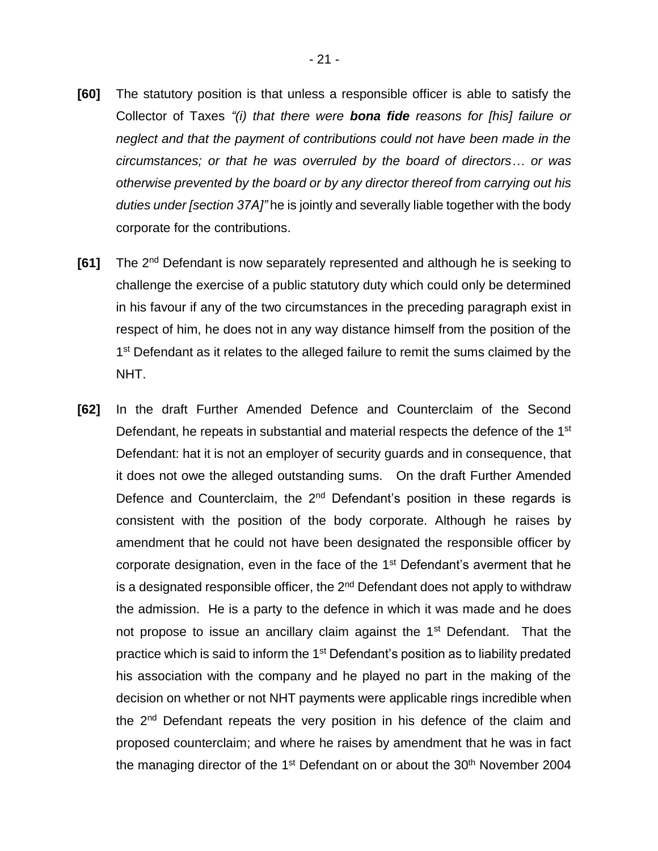- **[60]** The statutory position is that unless a responsible officer is able to satisfy the Collector of Taxes *"(i) that there were bona fide reasons for [his] failure or neglect and that the payment of contributions could not have been made in the circumstances; or that he was overruled by the board of directors… or was otherwise prevented by the board or by any director thereof from carrying out his duties under [section 37A]"* he is jointly and severally liable together with the body corporate for the contributions.
- **[61]** The 2nd Defendant is now separately represented and although he is seeking to challenge the exercise of a public statutory duty which could only be determined in his favour if any of the two circumstances in the preceding paragraph exist in respect of him, he does not in any way distance himself from the position of the 1<sup>st</sup> Defendant as it relates to the alleged failure to remit the sums claimed by the NHT.
- **[62]** In the draft Further Amended Defence and Counterclaim of the Second Defendant, he repeats in substantial and material respects the defence of the 1<sup>st</sup> Defendant: hat it is not an employer of security guards and in consequence, that it does not owe the alleged outstanding sums. On the draft Further Amended Defence and Counterclaim, the 2<sup>nd</sup> Defendant's position in these regards is consistent with the position of the body corporate. Although he raises by amendment that he could not have been designated the responsible officer by corporate designation, even in the face of the 1<sup>st</sup> Defendant's averment that he is a designated responsible officer, the  $2<sup>nd</sup>$  Defendant does not apply to withdraw the admission. He is a party to the defence in which it was made and he does not propose to issue an ancillary claim against the 1<sup>st</sup> Defendant. That the practice which is said to inform the 1<sup>st</sup> Defendant's position as to liability predated his association with the company and he played no part in the making of the decision on whether or not NHT payments were applicable rings incredible when the 2<sup>nd</sup> Defendant repeats the very position in his defence of the claim and proposed counterclaim; and where he raises by amendment that he was in fact the managing director of the  $1<sup>st</sup>$  Defendant on or about the  $30<sup>th</sup>$  November 2004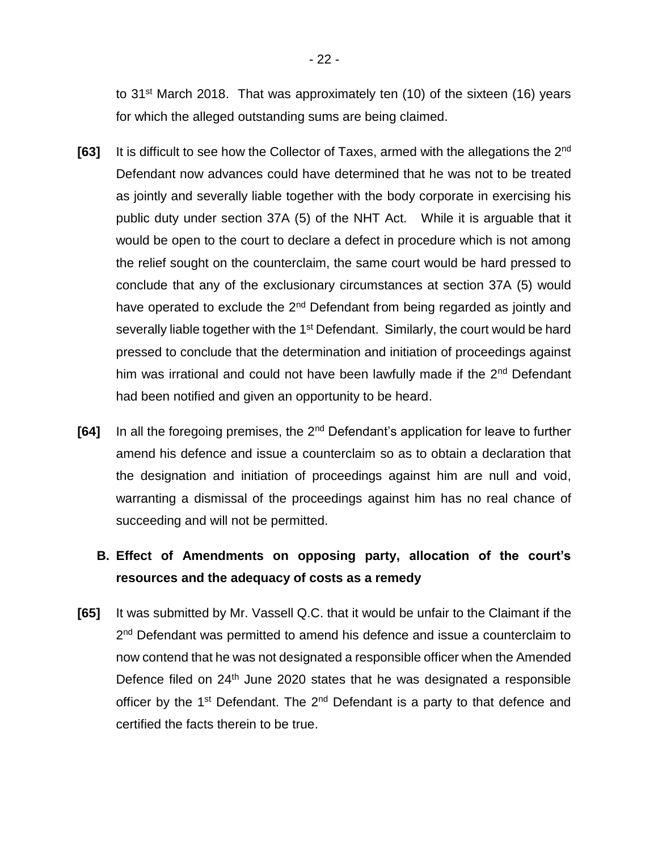to 31<sup>st</sup> March 2018. That was approximately ten (10) of the sixteen (16) years for which the alleged outstanding sums are being claimed.

- [63] It is difficult to see how the Collector of Taxes, armed with the allegations the 2<sup>nd</sup> Defendant now advances could have determined that he was not to be treated as jointly and severally liable together with the body corporate in exercising his public duty under section 37A (5) of the NHT Act. While it is arguable that it would be open to the court to declare a defect in procedure which is not among the relief sought on the counterclaim, the same court would be hard pressed to conclude that any of the exclusionary circumstances at section 37A (5) would have operated to exclude the 2<sup>nd</sup> Defendant from being regarded as jointly and severally liable together with the 1<sup>st</sup> Defendant. Similarly, the court would be hard pressed to conclude that the determination and initiation of proceedings against him was irrational and could not have been lawfully made if the 2<sup>nd</sup> Defendant had been notified and given an opportunity to be heard.
- **[64]** In all the foregoing premises, the 2nd Defendant's application for leave to further amend his defence and issue a counterclaim so as to obtain a declaration that the designation and initiation of proceedings against him are null and void, warranting a dismissal of the proceedings against him has no real chance of succeeding and will not be permitted.

## **B. Effect of Amendments on opposing party, allocation of the court's resources and the adequacy of costs as a remedy**

**[65]** It was submitted by Mr. Vassell Q.C. that it would be unfair to the Claimant if the 2<sup>nd</sup> Defendant was permitted to amend his defence and issue a counterclaim to now contend that he was not designated a responsible officer when the Amended Defence filed on  $24<sup>th</sup>$  June 2020 states that he was designated a responsible officer by the 1<sup>st</sup> Defendant. The 2<sup>nd</sup> Defendant is a party to that defence and certified the facts therein to be true.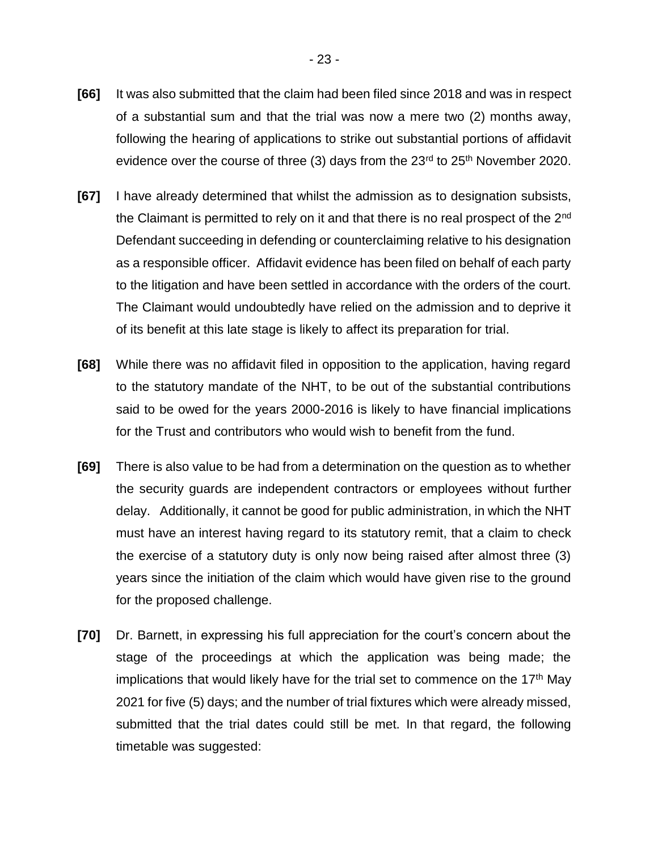- **[66]** It was also submitted that the claim had been filed since 2018 and was in respect of a substantial sum and that the trial was now a mere two (2) months away, following the hearing of applications to strike out substantial portions of affidavit evidence over the course of three (3) days from the  $23<sup>rd</sup>$  to  $25<sup>th</sup>$  November 2020.
- **[67]** I have already determined that whilst the admission as to designation subsists, the Claimant is permitted to rely on it and that there is no real prospect of the 2<sup>nd</sup> Defendant succeeding in defending or counterclaiming relative to his designation as a responsible officer. Affidavit evidence has been filed on behalf of each party to the litigation and have been settled in accordance with the orders of the court. The Claimant would undoubtedly have relied on the admission and to deprive it of its benefit at this late stage is likely to affect its preparation for trial.
- **[68]** While there was no affidavit filed in opposition to the application, having regard to the statutory mandate of the NHT, to be out of the substantial contributions said to be owed for the years 2000-2016 is likely to have financial implications for the Trust and contributors who would wish to benefit from the fund.
- **[69]** There is also value to be had from a determination on the question as to whether the security guards are independent contractors or employees without further delay. Additionally, it cannot be good for public administration, in which the NHT must have an interest having regard to its statutory remit, that a claim to check the exercise of a statutory duty is only now being raised after almost three (3) years since the initiation of the claim which would have given rise to the ground for the proposed challenge.
- **[70]** Dr. Barnett, in expressing his full appreciation for the court's concern about the stage of the proceedings at which the application was being made; the implications that would likely have for the trial set to commence on the  $17<sup>th</sup>$  May 2021 for five (5) days; and the number of trial fixtures which were already missed, submitted that the trial dates could still be met. In that regard, the following timetable was suggested: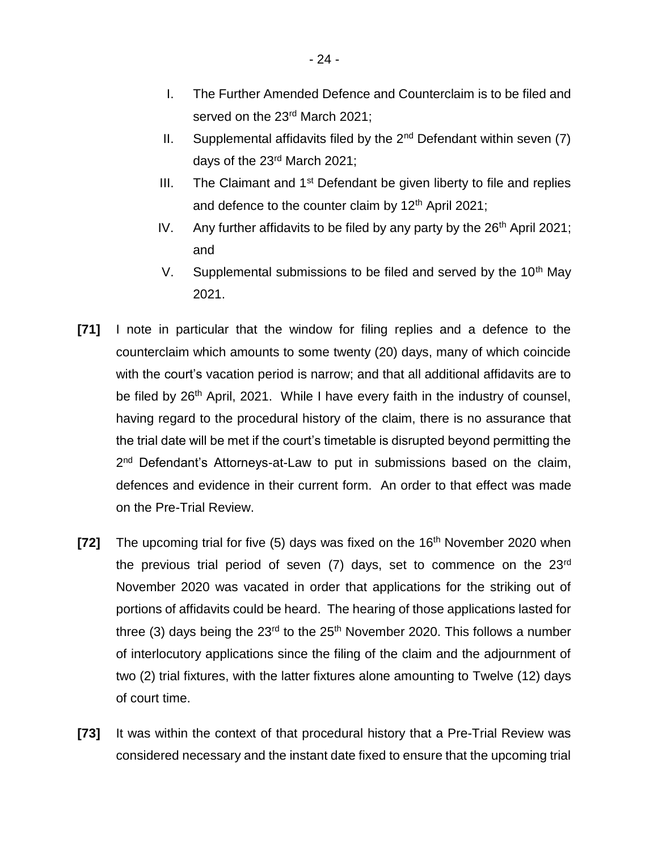- I. The Further Amended Defence and Counterclaim is to be filed and served on the 23<sup>rd</sup> March 2021;
- II. Supplemental affidavits filed by the  $2^{nd}$  Defendant within seven (7) days of the 23rd March 2021;
- III. The Claimant and  $1<sup>st</sup>$  Defendant be given liberty to file and replies and defence to the counter claim by  $12<sup>th</sup>$  April 2021;
- IV. Any further affidavits to be filed by any party by the  $26<sup>th</sup>$  April 2021; and
- V. Supplemental submissions to be filed and served by the  $10<sup>th</sup>$  May 2021.
- **[71]** I note in particular that the window for filing replies and a defence to the counterclaim which amounts to some twenty (20) days, many of which coincide with the court's vacation period is narrow; and that all additional affidavits are to be filed by 26<sup>th</sup> April, 2021. While I have every faith in the industry of counsel, having regard to the procedural history of the claim, there is no assurance that the trial date will be met if the court's timetable is disrupted beyond permitting the 2<sup>nd</sup> Defendant's Attorneys-at-Law to put in submissions based on the claim, defences and evidence in their current form. An order to that effect was made on the Pre-Trial Review.
- **[72]** The upcoming trial for five (5) days was fixed on the 16<sup>th</sup> November 2020 when the previous trial period of seven (7) days, set to commence on the 23<sup>rd</sup> November 2020 was vacated in order that applications for the striking out of portions of affidavits could be heard. The hearing of those applications lasted for three (3) days being the  $23<sup>rd</sup>$  to the  $25<sup>th</sup>$  November 2020. This follows a number of interlocutory applications since the filing of the claim and the adjournment of two (2) trial fixtures, with the latter fixtures alone amounting to Twelve (12) days of court time.
- **[73]** It was within the context of that procedural history that a Pre-Trial Review was considered necessary and the instant date fixed to ensure that the upcoming trial